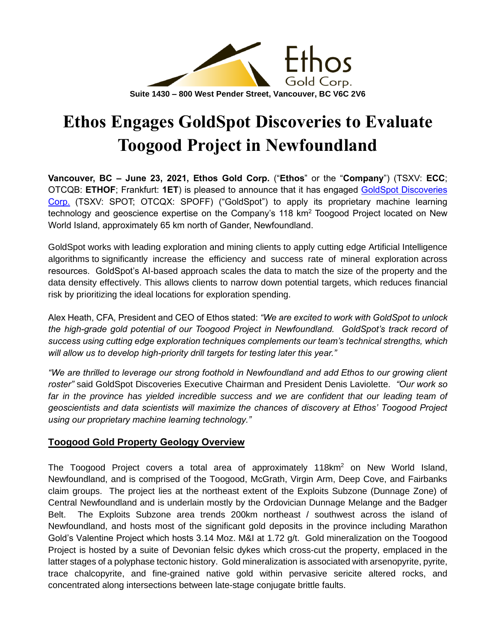

# **Ethos Engages GoldSpot Discoveries to Evaluate Toogood Project in Newfoundland**

**Vancouver, BC – June 23, 2021, Ethos Gold Corp.** ("**Ethos**" or the "**Company**") (TSXV: **ECC**; OTCQB: **ETHOF**; Frankfurt: **1ET**) is pleased to announce that it has engaged [GoldSpot Discoveries](https://goldspot.ca/)  [Corp.](https://goldspot.ca/) (TSXV: SPOT; OTCQX: SPOFF) ("GoldSpot") to apply its proprietary machine learning technology and geoscience expertise on the Company's 118 km<sup>2</sup> Toogood Project located on New World Island, approximately 65 km north of Gander, Newfoundland.

GoldSpot works with leading exploration and mining clients to apply cutting edge Artificial Intelligence algorithms to significantly increase the efficiency and success rate of mineral exploration across resources. GoldSpot's AI-based approach scales the data to match the size of the property and the data density effectively. This allows clients to narrow down potential targets, which reduces financial risk by prioritizing the ideal locations for exploration spending.

Alex Heath, CFA, President and CEO of Ethos stated: *"We are excited to work with GoldSpot to unlock the high-grade gold potential of our Toogood Project in Newfoundland. GoldSpot's track record of success using cutting edge exploration techniques complements our team's technical strengths, which will allow us to develop high-priority drill targets for testing later this year."*

*"We are thrilled to leverage our strong foothold in Newfoundland and add Ethos to our growing client roster"* said GoldSpot Discoveries Executive Chairman and President Denis Laviolette. *"Our work so*  far in the province has yielded incredible success and we are confident that our leading team of *geoscientists and data scientists will maximize the chances of discovery at Ethos' Toogood Project using our proprietary machine learning technology."*

## **Toogood Gold Property Geology Overview**

The Toogood Project covers a total area of approximately 118km<sup>2</sup> on New World Island. Newfoundland, and is comprised of the Toogood, McGrath, Virgin Arm, Deep Cove, and Fairbanks claim groups. The project lies at the northeast extent of the Exploits Subzone (Dunnage Zone) of Central Newfoundland and is underlain mostly by the Ordovician Dunnage Melange and the Badger Belt. The Exploits Subzone area trends 200km northeast / southwest across the island of Newfoundland, and hosts most of the significant gold deposits in the province including Marathon Gold's Valentine Project which hosts 3.14 Moz. M&I at 1.72 g/t. Gold mineralization on the Toogood Project is hosted by a suite of Devonian felsic dykes which cross-cut the property, emplaced in the latter stages of a polyphase tectonic history. Gold mineralization is associated with arsenopyrite, pyrite, trace chalcopyrite, and fine-grained native gold within pervasive sericite altered rocks, and concentrated along intersections between late-stage conjugate brittle faults.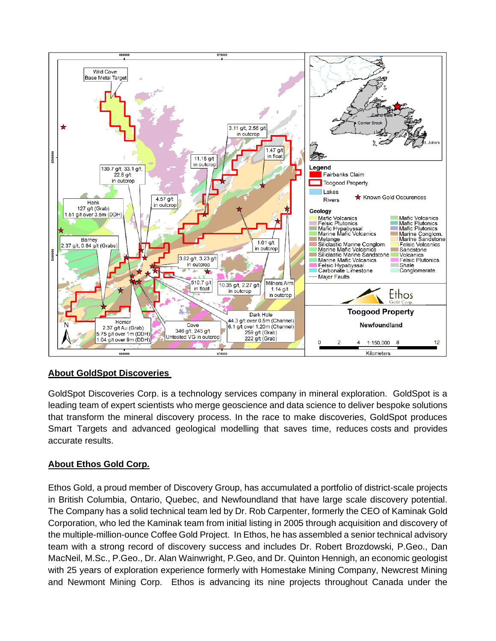

## **About GoldSpot Discoveries**

GoldSpot Discoveries Corp. is a technology services company in mineral exploration. GoldSpot is a leading team of expert scientists who merge geoscience and data science to deliver bespoke solutions that transform the mineral discovery process. In the race to make discoveries, GoldSpot produces Smart Targets and advanced geological modelling that saves time, reduces costs and provides accurate results.

## **About Ethos Gold Corp.**

Ethos Gold, a proud member of Discovery Group, has accumulated a portfolio of district-scale projects in British Columbia, Ontario, Quebec, and Newfoundland that have large scale discovery potential. The Company has a solid technical team led by Dr. Rob Carpenter, formerly the CEO of Kaminak Gold Corporation, who led the Kaminak team from initial listing in 2005 through acquisition and discovery of the multiple-million-ounce Coffee Gold Project. In Ethos, he has assembled a senior technical advisory team with a strong record of discovery success and includes Dr. Robert Brozdowski, P.Geo., Dan MacNeil, M.Sc., P.Geo., Dr. Alan Wainwright, P.Geo, and Dr. Quinton Hennigh, an economic geologist with 25 years of exploration experience formerly with Homestake Mining Company, Newcrest Mining and Newmont Mining Corp. Ethos is advancing its nine projects throughout Canada under the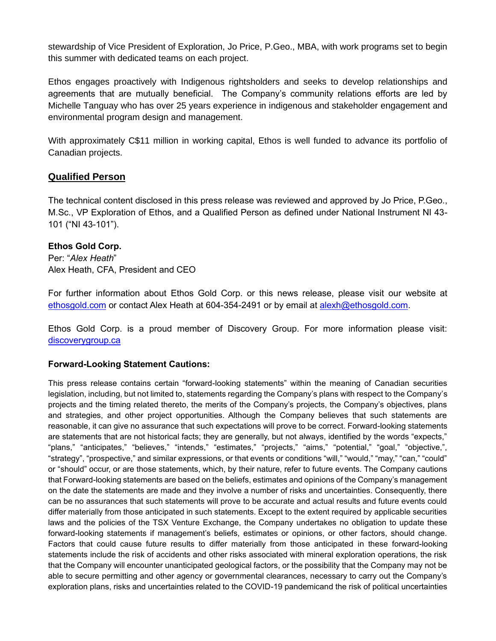stewardship of Vice President of Exploration, Jo Price, P.Geo., MBA, with work programs set to begin this summer with dedicated teams on each project.

Ethos engages proactively with Indigenous rightsholders and seeks to develop relationships and agreements that are mutually beneficial. The Company's community relations efforts are led by Michelle Tanguay who has over 25 years experience in indigenous and stakeholder engagement and environmental program design and management.

With approximately C\$11 million in working capital, Ethos is well funded to advance its portfolio of Canadian projects.

#### **Qualified Person**

The technical content disclosed in this press release was reviewed and approved by Jo Price, P.Geo., M.Sc., VP Exploration of Ethos, and a Qualified Person as defined under National Instrument NI 43- 101 ("NI 43-101").

#### **Ethos Gold Corp.**

Per: "*Alex Heath*" Alex Heath, CFA, President and CEO

For further information about Ethos Gold Corp. or this news release, please visit our website at [ethosgold.com](http://www.ethosgold.com/) or contact Alex Heath at 604-354-2491 or by email at [alexh@ethosgold.com.](mailto:alexh@ethosgold.com)

Ethos Gold Corp. is a proud member of Discovery Group. For more information please visit: [discoverygroup.ca](http://www.discoverygroup.ca/)

#### **Forward-Looking Statement Cautions:**

This press release contains certain "forward-looking statements" within the meaning of Canadian securities legislation, including, but not limited to, statements regarding the Company's plans with respect to the Company's projects and the timing related thereto, the merits of the Company's projects, the Company's objectives, plans and strategies, and other project opportunities. Although the Company believes that such statements are reasonable, it can give no assurance that such expectations will prove to be correct. Forward-looking statements are statements that are not historical facts; they are generally, but not always, identified by the words "expects," "plans," "anticipates," "believes," "intends," "estimates," "projects," "aims," "potential," "goal," "objective,", "strategy", "prospective," and similar expressions, or that events or conditions "will," "would," "may," "can," "could" or "should" occur, or are those statements, which, by their nature, refer to future events. The Company cautions that Forward-looking statements are based on the beliefs, estimates and opinions of the Company's management on the date the statements are made and they involve a number of risks and uncertainties. Consequently, there can be no assurances that such statements will prove to be accurate and actual results and future events could differ materially from those anticipated in such statements. Except to the extent required by applicable securities laws and the policies of the TSX Venture Exchange, the Company undertakes no obligation to update these forward-looking statements if management's beliefs, estimates or opinions, or other factors, should change. Factors that could cause future results to differ materially from those anticipated in these forward-looking statements include the risk of accidents and other risks associated with mineral exploration operations, the risk that the Company will encounter unanticipated geological factors, or the possibility that the Company may not be able to secure permitting and other agency or governmental clearances, necessary to carry out the Company's exploration plans, risks and uncertainties related to the COVID-19 pandemicand the risk of political uncertainties